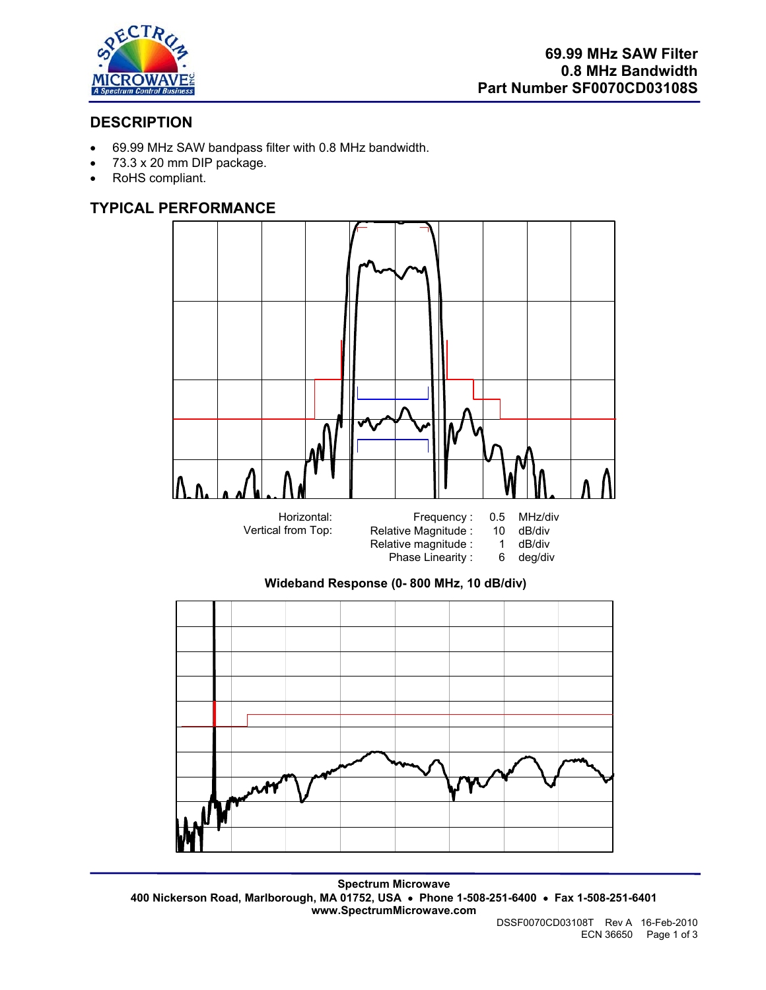

# **DESCRIPTION**

- 69.99 MHz SAW bandpass filter with 0.8 MHz bandwidth.
- 73.3 x 20 mm DIP package.
- RoHS compliant.

# **TYPICAL PERFORMANCE**







**Spectrum Microwave 400 Nickerson Road, Marlborough, MA 01752, USA** • **Phone 1-508-251-6400** • **Fax 1-508-251-6401 www.SpectrumMicrowave.com**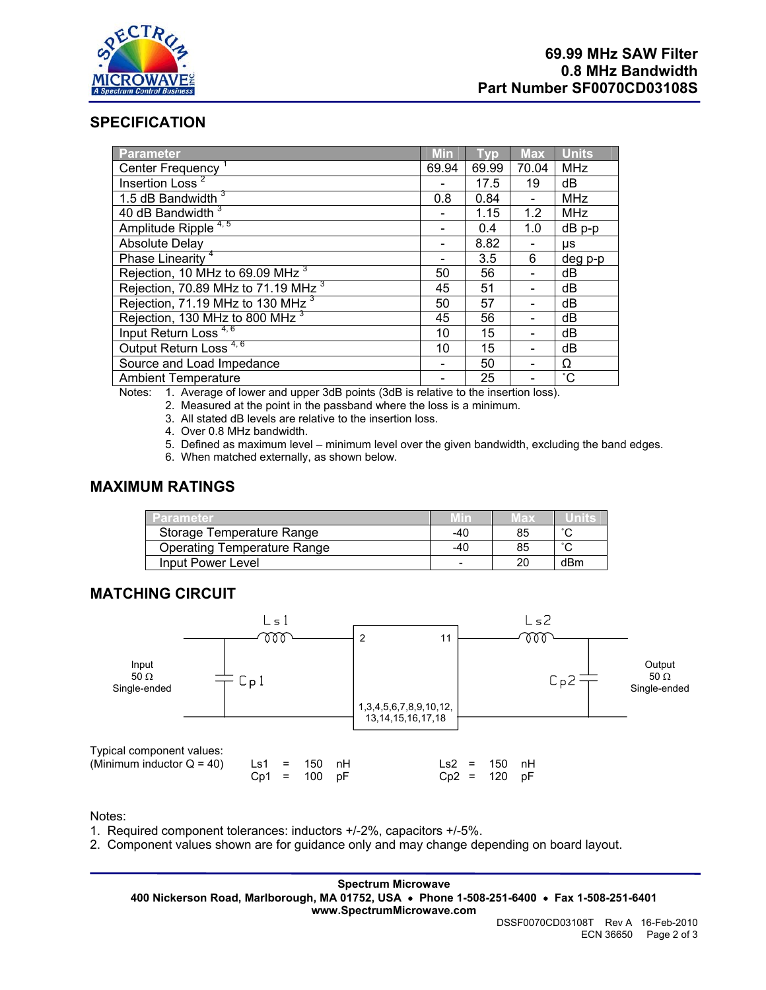

## **SPECIFICATION**

| <b>Parameter</b>                               | <b>Min</b> | <b>Typ</b> | <b>Max</b> | <b>Units</b>    |
|------------------------------------------------|------------|------------|------------|-----------------|
| Center Frequency <sup>1</sup>                  | 69.94      | 69.99      | 70.04      | <b>MHz</b>      |
| Insertion Loss <sup>2</sup>                    |            | 17.5       | 19         | dB              |
| 1.5 dB Bandwidth 3                             | 0.8        | 0.84       |            | <b>MHz</b>      |
| 40 dB Bandwidth <sup>3</sup>                   |            | 1.15       | 1.2        | <b>MHz</b>      |
| Amplitude Ripple <sup>4,5</sup>                |            | 0.4        | 1.0        | $dB$ p-p        |
| <b>Absolute Delay</b>                          |            | 8.82       |            | μs              |
| Phase Linearity <sup>4</sup>                   |            | 3.5        | 6          | deg p-p         |
| Rejection, 10 MHz to 69.09 MHz <sup>3</sup>    | 50         | 56         |            | dB              |
| Rejection, 70.89 MHz to 71.19 MHz <sup>3</sup> | 45         | 51         |            | dB              |
| Rejection, 71.19 MHz to 130 MHz <sup>3</sup>   | 50         | 57         |            | dB              |
| Rejection, 130 MHz to 800 MHz <sup>3</sup>     | 45         | 56         |            | dB              |
| Input Return Loss <sup>4,6</sup>               | 10         | 15         |            | dB              |
| Output Return Loss <sup>4,6</sup>              | 10         | 15         |            | dB              |
| Source and Load Impedance                      |            | 50         |            | Ω               |
| <b>Ambient Temperature</b>                     |            | 25         |            | $\rm ^{\circ}C$ |

Notes: 1. Average of lower and upper 3dB points (3dB is relative to the insertion loss).

2. Measured at the point in the passband where the loss is a minimum.

3. All stated dB levels are relative to the insertion loss.

4. Over 0.8 MHz bandwidth.

5. Defined as maximum level – minimum level over the given bandwidth, excluding the band edges.

6. When matched externally, as shown below.

#### **MAXIMUM RATINGS**

| Parameter                   | Min | лах |        |
|-----------------------------|-----|-----|--------|
| Storage Temperature Range   | -40 | 85  | $\sim$ |
| Operating Temperature Range | -40 | 85  | $\sim$ |
| Input Power Level           |     | 20  | dBm    |

## **MATCHING CIRCUIT**



Notes:

1. Required component tolerances: inductors +/-2%, capacitors +/-5%.

2. Component values shown are for guidance only and may change depending on board layout.

**Spectrum Microwave 400 Nickerson Road, Marlborough, MA 01752, USA** • **Phone 1-508-251-6400** • **Fax 1-508-251-6401 www.SpectrumMicrowave.com**